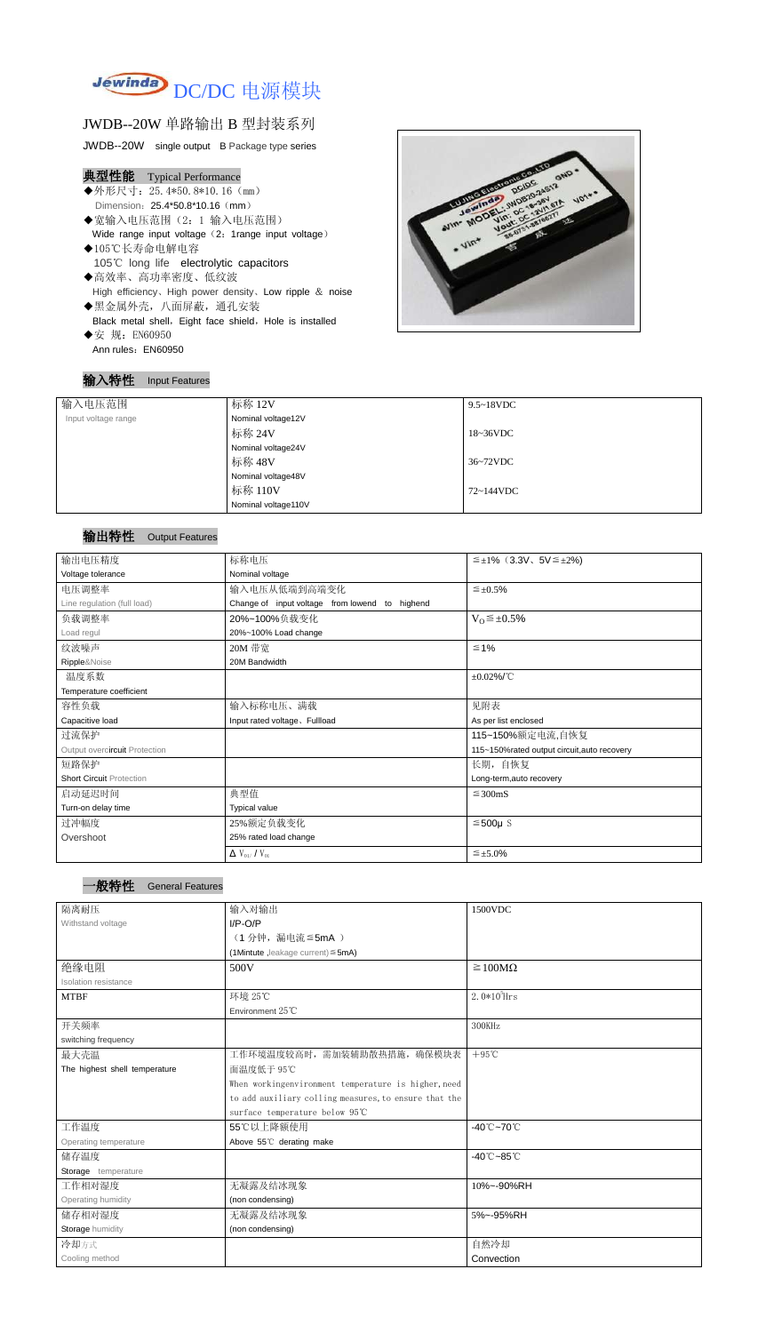

# JWDB--20W 单路输出 B 型封装系列

JWDB--20W single output B Package type series

# 典型性能 Typical Performance

- ◆外形尺寸: 25.4\*50.8\*10.16 (mm) Dimension: 25.4\*50.8\*10.16 (mm)
- ◆宽输入电压范围(2:1 输入电压范围) Wide range input voltage (2: 1range input voltage)
- ◆105℃长寿命电解电容 105℃ long life electrolytic capacitors
- ◆高效率、高功率密度、低纹波 High efficiency、High power density、Low ripple & noise ◆黑金属外壳,八面屏蔽,通孔安装 Black metal shell, Eight face shield, Hole is installed
- ◆安 规: EN60950 Ann rules: EN60950

### 输入特性 Input Features



# 输出特性 Output Features

#### 一般特性 General Features

| 输入电压范围              | 标称 12V              | $9.5 \sim 18$ VDC   |  |
|---------------------|---------------------|---------------------|--|
| Input voltage range | Nominal voltage12V  |                     |  |
|                     | 标称 24V              | $18~36\textrm{VDC}$ |  |
|                     | Nominal voltage24V  |                     |  |
|                     | 标称 48V              | 36~72VDC            |  |
|                     | Nominal voltage48V  |                     |  |
|                     | 标称 110V             | 72~144VDC           |  |
|                     | Nominal voltage110V |                     |  |

| 输出电压精度                          | 标称电压                                           | $\leq \pm 1\%$ (3.3V, 5V $\leq \pm 2\%$ )   |  |  |
|---------------------------------|------------------------------------------------|---------------------------------------------|--|--|
| Voltage tolerance               | Nominal voltage                                |                                             |  |  |
| 电压调整率                           | 输入电压从低端到高端变化                                   | $\leq \pm 0.5\%$                            |  |  |
| Line regulation (full load)     | Change of input voltage from lowend to highend |                                             |  |  |
| 负载调整率                           | 20%~100%负载变化                                   | $V_0 \leq \pm 0.5\%$                        |  |  |
| Load regul                      | 20%~100% Load change                           |                                             |  |  |
| 纹波噪声                            | 20M 带宽                                         | $\leq 1\%$                                  |  |  |
| Ripple&Noise                    | 20M Bandwidth                                  |                                             |  |  |
| 温度系数                            |                                                | $\pm 0.02\%$ /°C                            |  |  |
| Temperature coefficient         |                                                |                                             |  |  |
| 容性负载                            | 输入标称电压、满载                                      | 见附表                                         |  |  |
| Capacitive load                 | Input rated voltage, Fullload                  | As per list enclosed                        |  |  |
| 过流保护                            | 115~150%额定电流,自恢复                               |                                             |  |  |
| Output overcircuit Protection   |                                                | 115~150%rated output circuit, auto recovery |  |  |
| 短路保护                            |                                                | 长期, 自恢复                                     |  |  |
| <b>Short Circuit Protection</b> |                                                | Long-term, auto recovery                    |  |  |
| 启动延迟时间                          | 典型值<br>$\leq$ 300mS                            |                                             |  |  |
| Turn-on delay time              | <b>Typical value</b>                           |                                             |  |  |
| 过冲幅度                            | 25%额定负载变化                                      | $≤500µ$ S                                   |  |  |
| Overshoot                       | 25% rated load change                          |                                             |  |  |
|                                 | $\Delta$ V <sub>01</sub> /V <sub>01</sub>      | $\leq \pm 5.0\%$                            |  |  |

| 隔离耐压                          | 输入对输出                                                 | 1500VDC                         |
|-------------------------------|-------------------------------------------------------|---------------------------------|
| Withstand voltage             | $I/P-O/P$                                             |                                 |
|                               | (1分钟, 漏电流 ≦ 5mA)                                      |                                 |
|                               | (1Mintute, leakage current) $\leq$ 5mA)               |                                 |
| 绝缘电阻                          | 500V                                                  | $\geq 100M\Omega$               |
| <b>Isolation resistance</b>   |                                                       |                                 |
| <b>MTBF</b>                   | 环境 25℃                                                | $2.0*105$ Hrs                   |
|                               | Environment 25°C                                      |                                 |
| 开关频率                          |                                                       | 300KHz                          |
| switching frequency           |                                                       |                                 |
| 最大壳温                          | 工作环境温度较高时, 需加装辅助散热措施, 确保模块表                           | $+95^{\circ}$ C                 |
| The highest shell temperature | 面温度低于 95℃                                             |                                 |
|                               | When workingenvironment temperature is higher, need   |                                 |
|                               | to add auxiliary colling measures, to ensure that the |                                 |
|                               | surface temperature below 95°C                        |                                 |
| 工作温度                          | 55℃以上降额使用                                             | $-40^{\circ}$ C $-70^{\circ}$ C |
| Operating temperature         | Above 55°C derating make                              |                                 |
| 储存温度                          |                                                       | $-40^{\circ}$ C $-85^{\circ}$ C |
| Storage temperature           |                                                       |                                 |
| 工作相对湿度                        | 无凝露及结冰现象                                              | 10%~-90%RH                      |
| Operating humidity            | (non condensing)                                      |                                 |
| 储存相对湿度                        | 无凝露及结冰现象                                              | 5%~-95%RH                       |
| Storage humidity              | (non condensing)                                      |                                 |
| 冷却方式                          |                                                       | 自然冷却                            |
| Cooling method                |                                                       | Convection                      |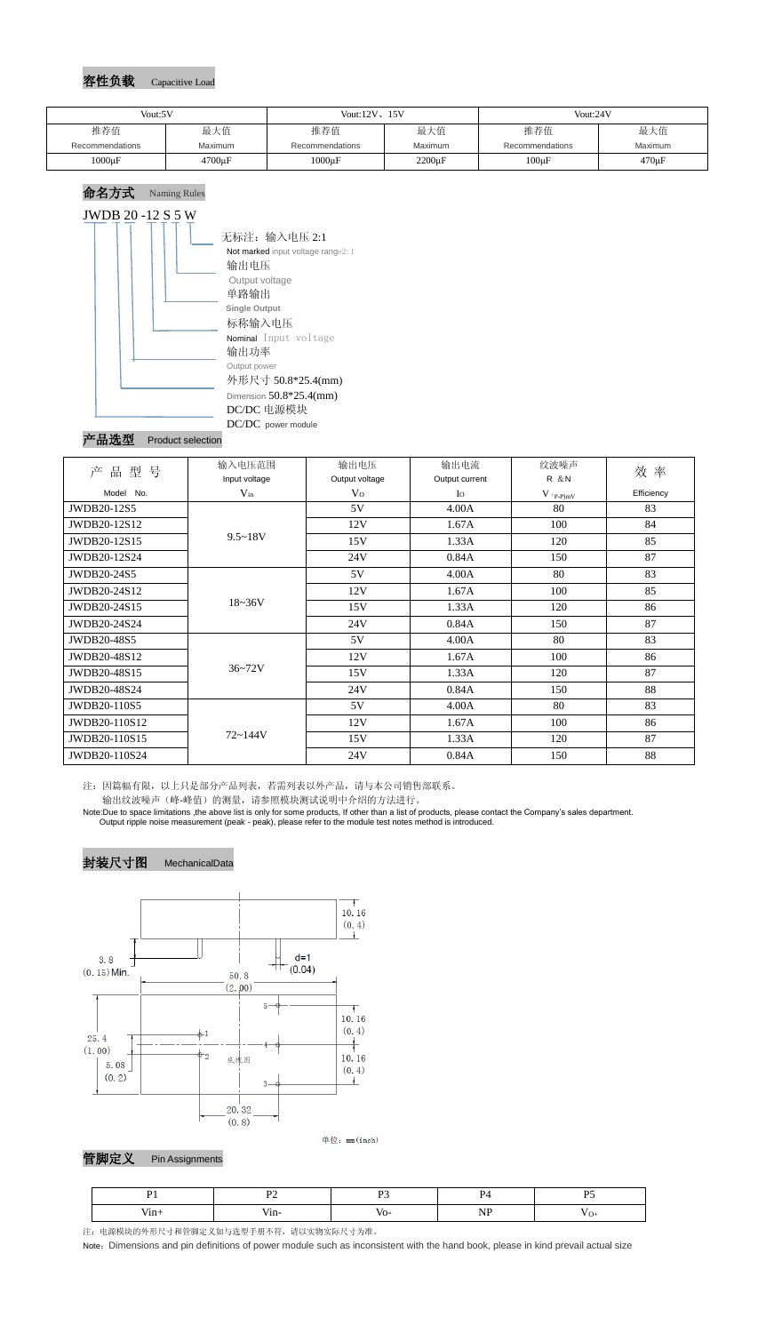## 容性负载 Capacitive Load

# 命名方式 Naming Rules JWDB 20 -12 S 5 W

| 无标注: 输入电压 2:1<br>Not marked input voltage range $2:1$<br>输出电压<br>Output voltage<br>单路输出                                |
|------------------------------------------------------------------------------------------------------------------------|
| <b>Single Output</b><br>标称输入电压                                                                                         |
| <b>Nominal</b> Input voltage<br>输出功率<br>Output power<br>外形尺寸 50.8*25.4(mm)<br>Dimension $50.8*25.4$ (mm)<br>DC/DC 电源模块 |
| DC/DC power module                                                                                                     |

#### 产品选型 Product selection

注:因篇幅有限,以上只是部分产品列表,若需列表以外产品,请与本公司销售部联系。

输出纹波噪声(峰-峰值)的测量,请参照模块测试说明中介绍的方法进行。

Note:Due to space limitations ,the above list is only for some products, If other than a list of products, please contact the Company's sales department. Output ripple noise measurement (peak - peak), please refer to the module test notes method is introduced.



单位: mm(inch)

## 管脚定义 Pin Assignments

注:电源模块的外形尺寸和管脚定义如与选型手册不符,请以实物实际尺寸为准。

Note: Dimensions and pin definitions of power module such as inconsistent with the hand book, please in kind prevail actual size

| Vout:5V         |              | Vout: $12V$ , $15V$ |              | Vout:24V        |             |
|-----------------|--------------|---------------------|--------------|-----------------|-------------|
| 推荐值             | 最大值          | 推荐值                 | 最大值          | 推荐值             | 最大值         |
| Recommendations | Maximum      | Recommendations     | Maximum      | Recommendations | Maximum     |
| $1000\mu F$     | $4700 \mu F$ | $1000\mu F$         | $2200 \mu F$ | $100\mu F$      | $470 \mu F$ |

| 品<br>型<br>号<br>产 | 输入电压范围        | 输出电压           | 输出电流           | 纹波噪声         | 效率         |  |
|------------------|---------------|----------------|----------------|--------------|------------|--|
|                  | Input voltage | Output voltage | Output current | <b>R</b> & N |            |  |
| Model No.        | $V_{in}$      | V <sub>O</sub> | $I_{\rm O}$    | $V$ (p-p)mV  | Efficiency |  |
| JWDB20-12S5      | $9.5 - 18V$   | 5V             | 4.00A          | 80           | 83         |  |
| JWDB20-12S12     |               | 12V            | 1.67A          | 100          | 84         |  |
| JWDB20-12S15     |               | 15V            | 1.33A          | 120          | 85         |  |
| JWDB20-12S24     |               | 24V            | 0.84A          | 150          | 87         |  |
| JWDB20-24S5      | $18 - 36V$    | 5V             | 4.00A          | 80           | 83         |  |
| JWDB20-24S12     |               | 12V            | 1.67A          | 100          | 85         |  |
| JWDB20-24S15     |               | 15V            | 1.33A          | 120          | 86         |  |
| JWDB20-24S24     |               | 24V            | 0.84A          | 150          | 87         |  |
| JWDB20-48S5      | $36 - 72V$    | 5V             | 4.00A          | 80           | 83         |  |
| JWDB20-48S12     |               | 12V            | 1.67A          | 100          | 86         |  |
| JWDB20-48S15     |               | 15V            | 1.33A          | 120          | 87         |  |
| JWDB20-48S24     |               | 24V            | 0.84A          | 150          | 88         |  |
| JWDB20-110S5     | $72 - 144V$   | 5V             | 4.00A          | 80           | 83         |  |
| JWDB20-110S12    |               | 12V            | 1.67A          | 100          | 86         |  |
| JWDB20-110S15    |               | 15V            | 1.33A          | 120          | 87         |  |
| JWDB20-110S24    |               | 24V            | 0.84A          | 150          | 88         |  |

| ш | . | vo |  |
|---|---|----|--|